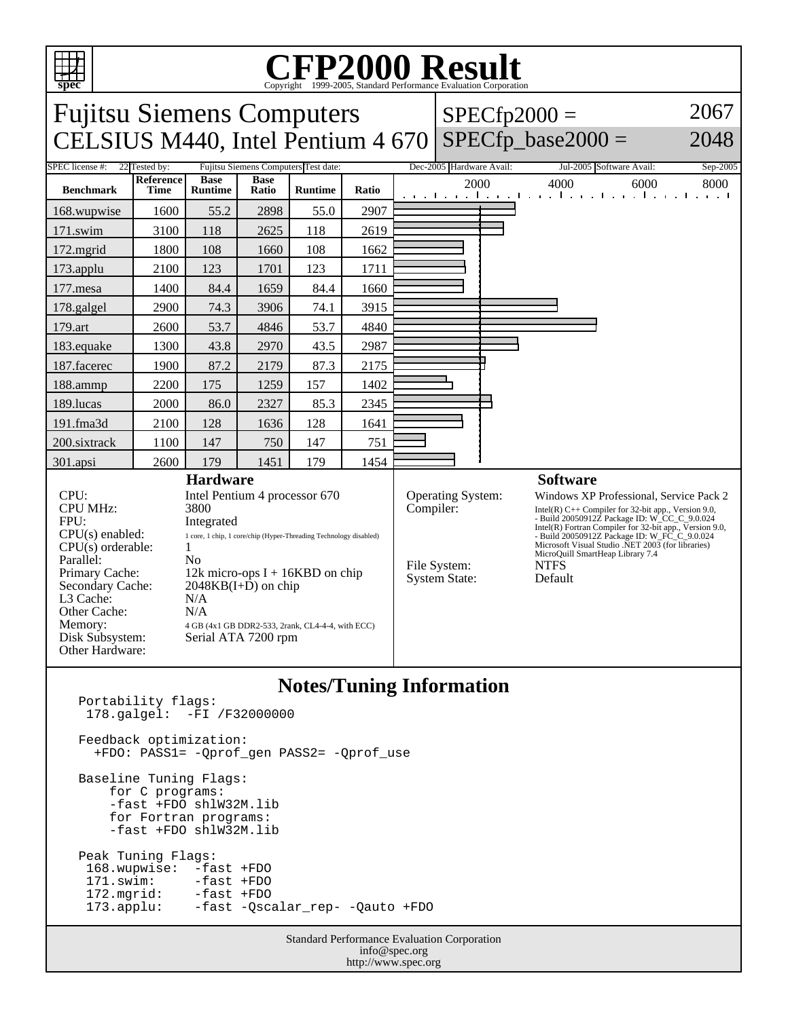

## C<sub>opyright</sub> ©1999-2005, Standard Performance Evaluation Corporation

|                                                                                                                                                                                                            |                          |                                                                                                                                                                       |                                      | Copyright @1999 2009, Dundard Ferrormance Evaluation Corporation |                          |                                |                               |                                                                                                                                                                                                                                                                                                                  |                                                            |                             |  |
|------------------------------------------------------------------------------------------------------------------------------------------------------------------------------------------------------------|--------------------------|-----------------------------------------------------------------------------------------------------------------------------------------------------------------------|--------------------------------------|------------------------------------------------------------------|--------------------------|--------------------------------|-------------------------------|------------------------------------------------------------------------------------------------------------------------------------------------------------------------------------------------------------------------------------------------------------------------------------------------------------------|------------------------------------------------------------|-----------------------------|--|
| <b>Fujitsu Siemens Computers</b><br>2067<br>$SPECfp2000 =$                                                                                                                                                 |                          |                                                                                                                                                                       |                                      |                                                                  |                          |                                |                               |                                                                                                                                                                                                                                                                                                                  |                                                            |                             |  |
| CELSIUS M440, Intel Pentium 4 670                                                                                                                                                                          |                          |                                                                                                                                                                       |                                      |                                                                  |                          |                                | $SPECfp\_base2000 =$          | 2048                                                                                                                                                                                                                                                                                                             |                                                            |                             |  |
| SPEC license #:<br>22 Tested by:                                                                                                                                                                           |                          |                                                                                                                                                                       | Fujitsu Siemens Computers Test date: |                                                                  | Dec-2005 Hardware Avail: |                                | Jul-2005 Software Avail:      | Sep-2005                                                                                                                                                                                                                                                                                                         |                                                            |                             |  |
| <b>Benchmark</b>                                                                                                                                                                                           | Reference<br><b>Time</b> | <b>Base</b><br><b>Runtime</b>                                                                                                                                         | <b>Base</b><br>Ratio                 | <b>Runtime</b>                                                   | Ratio                    |                                | 2000                          |                                                                                                                                                                                                                                                                                                                  | 4000<br>والتعبيل وبالتعبيل المعارفات والمحارب              | 6000<br>8000<br>and a state |  |
| 168.wupwise                                                                                                                                                                                                | 1600                     | 55.2                                                                                                                                                                  | 2898                                 | 55.0                                                             | 2907                     |                                |                               |                                                                                                                                                                                                                                                                                                                  |                                                            |                             |  |
| 171.swim                                                                                                                                                                                                   | 3100                     | 118                                                                                                                                                                   | 2625                                 | 118                                                              | 2619                     |                                |                               |                                                                                                                                                                                                                                                                                                                  |                                                            |                             |  |
| 172.mgrid                                                                                                                                                                                                  | 1800                     | 108                                                                                                                                                                   | 1660                                 | 108                                                              | 1662                     |                                |                               |                                                                                                                                                                                                                                                                                                                  |                                                            |                             |  |
| 173.applu                                                                                                                                                                                                  | 2100                     | 123                                                                                                                                                                   | 1701                                 | 123                                                              | 1711                     |                                |                               |                                                                                                                                                                                                                                                                                                                  |                                                            |                             |  |
| 177.mesa                                                                                                                                                                                                   | 1400                     | 84.4                                                                                                                                                                  | 1659                                 | 84.4                                                             | 1660                     |                                |                               |                                                                                                                                                                                                                                                                                                                  |                                                            |                             |  |
| 178.galgel                                                                                                                                                                                                 | 2900                     | 74.3                                                                                                                                                                  | 3906                                 | 74.1                                                             | 3915                     |                                |                               |                                                                                                                                                                                                                                                                                                                  |                                                            |                             |  |
| 179.art                                                                                                                                                                                                    | 2600                     | 53.7                                                                                                                                                                  | 4846                                 | 53.7                                                             | 4840                     |                                |                               |                                                                                                                                                                                                                                                                                                                  |                                                            |                             |  |
| 183.equake                                                                                                                                                                                                 | 1300                     | 43.8                                                                                                                                                                  | 2970                                 | 43.5                                                             | 2987                     |                                |                               |                                                                                                                                                                                                                                                                                                                  |                                                            |                             |  |
| 187.facerec                                                                                                                                                                                                | 1900                     | 87.2                                                                                                                                                                  | 2179                                 | 87.3                                                             | 2175                     |                                |                               |                                                                                                                                                                                                                                                                                                                  |                                                            |                             |  |
| 188.ammp                                                                                                                                                                                                   | 2200                     | 175                                                                                                                                                                   | 1259                                 | 157                                                              | 1402                     |                                |                               |                                                                                                                                                                                                                                                                                                                  |                                                            |                             |  |
| 189.lucas                                                                                                                                                                                                  | 2000                     | 86.0                                                                                                                                                                  | 2327                                 | 85.3                                                             | 2345                     |                                |                               |                                                                                                                                                                                                                                                                                                                  |                                                            |                             |  |
| 191.fma3d                                                                                                                                                                                                  | 2100                     | 128                                                                                                                                                                   | 1636                                 | 128                                                              | 1641                     |                                |                               |                                                                                                                                                                                                                                                                                                                  |                                                            |                             |  |
| 200.sixtrack                                                                                                                                                                                               | 1100                     | 147                                                                                                                                                                   | 750                                  | 147                                                              | 751                      |                                |                               |                                                                                                                                                                                                                                                                                                                  |                                                            |                             |  |
| 301.apsi                                                                                                                                                                                                   | 2600                     | 179                                                                                                                                                                   | 1451                                 | 179                                                              | 1454                     |                                |                               |                                                                                                                                                                                                                                                                                                                  |                                                            |                             |  |
| <b>Hardware</b>                                                                                                                                                                                            |                          |                                                                                                                                                                       |                                      |                                                                  |                          |                                | <b>Software</b>               |                                                                                                                                                                                                                                                                                                                  |                                                            |                             |  |
| CPU:<br>Intel Pentium 4 processor 670<br><b>CPU MHz:</b><br>3800<br>FPU:<br>Integrated<br>$CPU(s)$ enabled:<br>1 core, 1 chip, 1 core/chip (Hyper-Threading Technology disabled)<br>CPU(s) orderable:<br>1 |                          |                                                                                                                                                                       |                                      |                                                                  |                          | Operating System:<br>Compiler: |                               | Windows XP Professional, Service Pack 2<br>Intel(R) $C++$ Compiler for 32-bit app., Version 9.0,<br>- Build 20050912Z Package ID: W_CC_C_9.0.024<br>Intel(R) Fortran Compiler for 32-bit app., Version 9.0,<br>- Build 20050912Z Package ID: W_FC_C_9.0.024<br>Microsoft Visual Studio .NET 2003 (for libraries) |                                                            |                             |  |
| Parallel:<br>Primary Cache:<br>Secondary Cache:<br>L3 Cache:<br>Other Cache:<br>Memory:<br>Disk Subsystem:<br>Other Hardware:                                                                              |                          | N <sub>0</sub><br>12k micro-ops $I + 16KBD$ on chip<br>$2048KB(I+D)$ on chip<br>N/A<br>N/A<br>4 GB (4x1 GB DDR2-533, 2rank, CL4-4-4, with ECC)<br>Serial ATA 7200 rpm |                                      |                                                                  |                          |                                | File System:<br>System State: |                                                                                                                                                                                                                                                                                                                  | MicroQuill SmartHeap Library 7.4<br><b>NTFS</b><br>Default |                             |  |
| $\mathbf{M}$ . The state<br>$\mathbf{r}$                                                                                                                                                                   |                          |                                                                                                                                                                       |                                      |                                                                  |                          |                                |                               |                                                                                                                                                                                                                                                                                                                  |                                                            |                             |  |

## **Notes/Tuning Information**

Portability flags: 178.galgel: -FI /F32000000 Feedback optimization: +FDO: PASS1= -Qprof\_gen PASS2= -Qprof\_use Baseline Tuning Flags: for C programs: -fast +FDO shlW32M.lib for Fortran programs: -fast +FDO shlW32M.lib Peak Tuning Flags: 168.wupwise: -fast +FDO<br>171.swim: -fast +FDO 171.swim: -fast +FDO 172.mgrid: -fast +FDO 173.applu: -fast -Qscalar\_rep- -Qauto +FDO

Standard Performance Evaluation Corporation info@spec.org http://www.spec.org